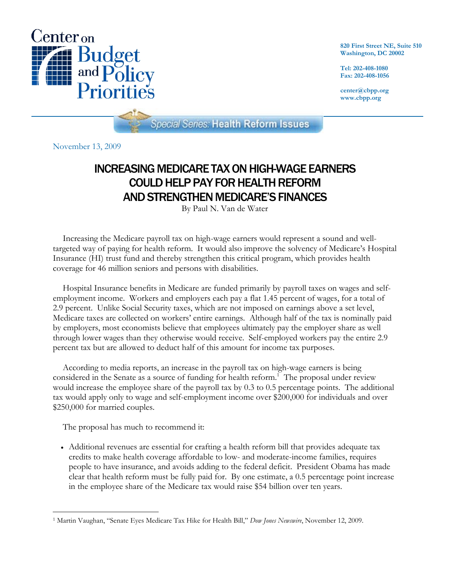

**820 First Street NE, Suite 510 Washington, DC 20002** 

**Tel: 202-408-1080 Fax: 202-408-1056** 

**center@cbpp.org www.cbpp.org** 

**Special Series: Health Reform Issues** 

November 13, 2009

## INCREASING MEDICARE TAX ON HIGH-WAGE EARNERS COULD HELP PAY FOR HEALTH REFORM AND STRENGTHEN MEDICARE'S FINANCES

By Paul N. Van de Water

Increasing the Medicare payroll tax on high-wage earners would represent a sound and welltargeted way of paying for health reform. It would also improve the solvency of Medicare's Hospital Insurance (HI) trust fund and thereby strengthen this critical program, which provides health coverage for 46 million seniors and persons with disabilities.

Hospital Insurance benefits in Medicare are funded primarily by payroll taxes on wages and selfemployment income. Workers and employers each pay a flat 1.45 percent of wages, for a total of 2.9 percent. Unlike Social Security taxes, which are not imposed on earnings above a set level, Medicare taxes are collected on workers' entire earnings. Although half of the tax is nominally paid by employers, most economists believe that employees ultimately pay the employer share as well through lower wages than they otherwise would receive. Self-employed workers pay the entire 2.9 percent tax but are allowed to deduct half of this amount for income tax purposes.

According to media reports, an increase in the payroll tax on high-wage earners is being considered in the Senate as a source of funding for health reform.<sup>1</sup> The proposal under review would increase the employee share of the payroll tax by 0.3 to 0.5 percentage points. The additional tax would apply only to wage and self-employment income over \$200,000 for individuals and over \$250,000 for married couples.

The proposal has much to recommend it:

 Additional revenues are essential for crafting a health reform bill that provides adequate tax credits to make health coverage affordable to low- and moderate-income families, requires people to have insurance, and avoids adding to the federal deficit. President Obama has made clear that health reform must be fully paid for. By one estimate, a 0.5 percentage point increase in the employee share of the Medicare tax would raise \$54 billion over ten years.

<sup>-</sup>1 Martin Vaughan, "Senate Eyes Medicare Tax Hike for Health Bill," *Dow Jones Newswire*, November 12, 2009.